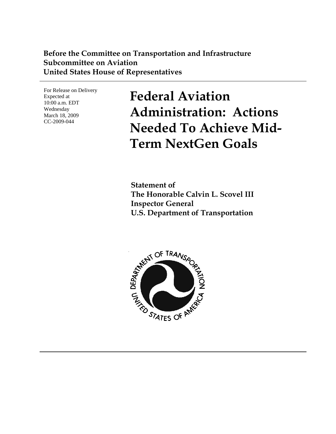## **Before the Committee on Transportation and Infrastructure Subcommittee on Aviation United States House of Representatives**

For Release on Delivery Expected at 10:00 a.m. EDT Wednesday March 18, 2009 CC-2009-044

**Federal Aviation Administration: Actions Needed To Achieve Mid-Term NextGen Goals** 

**Statement of The Honorable Calvin L. Scovel III Inspector General U.S. Department of Transportation** 

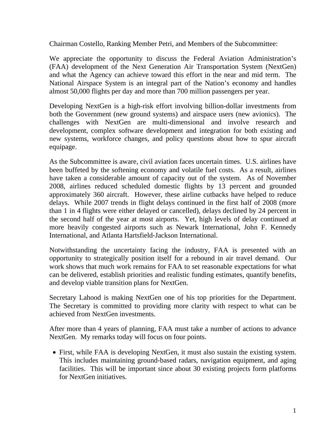Chairman Costello, Ranking Member Petri, and Members of the Subcommittee:

We appreciate the opportunity to discuss the Federal Aviation Administration's (FAA) development of the Next Generation Air Transportation System (NextGen) and what the Agency can achieve toward this effort in the near and mid term. The National Airspace System is an integral part of the Nation's economy and handles almost 50,000 flights per day and more than 700 million passengers per year.

Developing NextGen is a high-risk effort involving billion-dollar investments from both the Government (new ground systems) and airspace users (new avionics). The challenges with NextGen are multi-dimensional and involve research and development, complex software development and integration for both existing and new systems, workforce changes, and policy questions about how to spur aircraft equipage.

As the Subcommittee is aware, civil aviation faces uncertain times. U.S. airlines have been buffeted by the softening economy and volatile fuel costs. As a result, airlines have taken a considerable amount of capacity out of the system. As of November 2008, airlines reduced scheduled domestic flights by 13 percent and grounded approximately 360 aircraft. However, these airline cutbacks have helped to reduce delays. While 2007 trends in flight delays continued in the first half of 2008 (more than 1 in 4 flights were either delayed or cancelled), delays declined by 24 percent in the second half of the year at most airports. Yet, high levels of delay continued at more heavily congested airports such as Newark International, John F. Kennedy International, and Atlanta Hartsfield-Jackson International.

Notwithstanding the uncertainty facing the industry, FAA is presented with an opportunity to strategically position itself for a rebound in air travel demand. Our work shows that much work remains for FAA to set reasonable expectations for what can be delivered, establish priorities and realistic funding estimates, quantify benefits, and develop viable transition plans for NextGen.

Secretary Lahood is making NextGen one of his top priorities for the Department. The Secretary is committed to providing more clarity with respect to what can be achieved from NextGen investments.

After more than 4 years of planning, FAA must take a number of actions to advance NextGen. My remarks today will focus on four points.

• First, while FAA is developing NextGen, it must also sustain the existing system. This includes maintaining ground-based radars, navigation equipment, and aging facilities. This will be important since about 30 existing projects form platforms for NextGen initiatives.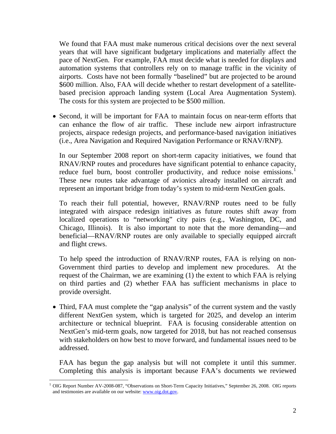We found that FAA must make numerous critical decisions over the next several years that will have significant budgetary implications and materially affect the pace of NextGen. For example, FAA must decide what is needed for displays and automation systems that controllers rely on to manage traffic in the vicinity of airports. Costs have not been formally "baselined" but are projected to be around \$600 million. Also, FAA will decide whether to restart development of a satellitebased precision approach landing system (Local Area Augmentation System). The costs for this system are projected to be \$500 million.

• Second, it will be important for FAA to maintain focus on near-term efforts that can enhance the flow of air traffic. These include new airport infrastructure projects, airspace redesign projects, and performance-based navigation initiatives (i.e., Area Navigation and Required Navigation Performance or RNAV/RNP).

In our September 2008 report on short-term capacity initiatives, we found that RNAV/RNP routes and procedures have significant potential to enhance capacity, reduce fuel burn, boost controller productivity, and reduce noise emissions.<sup>[1](#page-2-0)</sup> These new routes take advantage of avionics already installed on aircraft and represent an important bridge from today's system to mid-term NextGen goals.

To reach their full potential, however, RNAV/RNP routes need to be fully integrated with airspace redesign initiatives as future routes shift away from localized operations to "networking" city pairs (e.g., Washington, DC, and Chicago, Illinois). It is also important to note that the more demanding—and beneficial—RNAV/RNP routes are only available to specially equipped aircraft and flight crews.

To help speed the introduction of RNAV/RNP routes, FAA is relying on non-Government third parties to develop and implement new procedures. At the request of the Chairman, we are examining (1) the extent to which FAA is relying on third parties and (2) whether FAA has sufficient mechanisms in place to provide oversight.

• Third, FAA must complete the "gap analysis" of the current system and the vastly different NextGen system, which is targeted for 2025, and develop an interim architecture or technical blueprint. FAA is focusing considerable attention on NextGen's mid-term goals, now targeted for 2018, but has not reached consensus with stakeholders on how best to move forward, and fundamental issues need to be addressed.

FAA has begun the gap analysis but will not complete it until this summer. Completing this analysis is important because FAA's documents we reviewed

<span id="page-2-0"></span> $\overline{a}$ 1 OIG Report Number AV-2008-087, "Observations on Short-Term Capacity Initiatives," September 26, 2008. OIG reports and testimonies are available on our website: [www.oig.dot.gov.](http://www.oig.dot.gov/)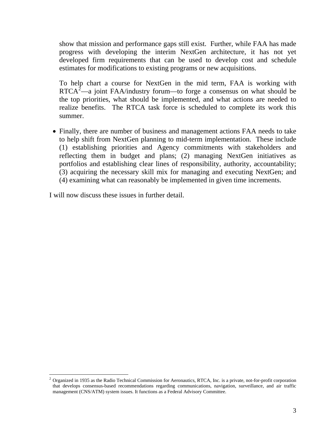show that mission and performance gaps still exist. Further, while FAA has made progress with developing the interim NextGen architecture, it has not yet developed firm requirements that can be used to develop cost and schedule estimates for modifications to existing programs or new acquisitions.

To help chart a course for NextGen in the mid term, FAA is working with  $RTCA<sup>2</sup>$  $RTCA<sup>2</sup>$  $RTCA<sup>2</sup>$ —a joint FAA/industry forum—to forge a consensus on what should be the top priorities, what should be implemented, and what actions are needed to realize benefits. The RTCA task force is scheduled to complete its work this summer.

(3) acquiring the necessary skill mix for managing and executing NextGen; and (4) examining what can reasonably be implemented in given time increments. • Finally, there are number of business and management actions FAA needs to take to help shift from NextGen planning to mid-term implementation. These include (1) establishing priorities and Agency commitments with stakeholders and reflecting them in budget and plans; (2) managing NextGen initiatives as portfolios and establishing clear lines of responsibility, authority, accountability;

I will now discuss these issues in further detail.

 $\overline{a}$ 

<span id="page-3-0"></span><sup>2</sup> Organized in 1935 as the Radio Technical Commission for Aeronautics, RTCA, Inc. is a private, not-for-profit corporation that develops consensus-based recommendations regarding communications, navigation, surveillance, and air traffic management (CNS/ATM) system issues. It functions as a Federal Advisory Committee.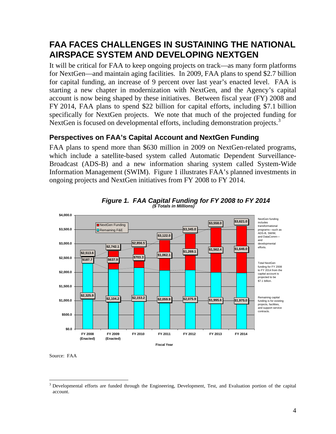# **FAA FACES CHALLENGES IN SUSTAINING THE NATIONAL AIRSPACE SYSTEM AND DEVELOPING NEXTGEN**

It will be critical for FAA to keep ongoing projects on track—as many form platforms for NextGen—and maintain aging facilities. In 2009, FAA plans to spend \$2.7 billion for capital funding, an increase of 9 percent over last year's enacted level. FAA is starting a new chapter in modernization with NextGen, and the Agency's capital account is now being shaped by these initiatives. Between fiscal year (FY) 2008 and FY 2014, FAA plans to spend \$22 billion for capital efforts, including \$7.1 billion specifically for NextGen projects. We note that much of the projected funding for NextGen is focused on developmental efforts, including demonstration projects.<sup>[3](#page-4-0)</sup>

## **Perspectives on FAA's Capital Account and NextGen Funding**

FAA plans to spend more than \$630 million in 2009 on NextGen-related programs, which include a satellite-based system called Automatic Dependent Surveillance-Broadcast (ADS-B) and a new information sharing system called System-Wide Information Management (SWIM). Figure 1 illustrates FAA's planned investments in ongoing projects and NextGen initiatives from FY 2008 to FY 2014.



*Figure 1. FAA Capital Funding for FY 2008 to FY 2014 (\$ Totals in Millions)*

<span id="page-4-0"></span><sup>&</sup>lt;sup>3</sup> Developmental efforts are funded through the Engineering, Development, Test, and Evaluation portion of the capital account.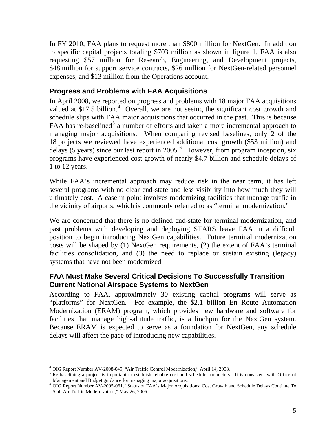In FY 2010, FAA plans to request more than \$800 million for NextGen. In addition to specific capital projects totaling \$703 million as shown in figure 1, FAA is also requesting \$57 million for Research, Engineering, and Development projects, \$48 million for support service contracts, \$26 million for NextGen-related personnel expenses, and \$13 million from the Operations account.

## **Progress and Problems with FAA Acquisitions**

In April 2008, we reported on progress and problems with 18 major FAA acquisitions valued at \$17.5 billion.<sup>[4](#page-5-0)</sup> Overall, we are not seeing the significant cost growth and schedule slips with FAA major acquisitions that occurred in the past. This is because FAA has re-baselined<sup>[5](#page-5-1)</sup> a number of efforts and taken a more incremental approach to managing major acquisitions. When comparing revised baselines, only 2 of the 18 projects we reviewed have experienced additional cost growth (\$53 million) and delays (5 years) since our last report in 2005.<sup>[6](#page-5-2)</sup> However, from program inception, six programs have experienced cost growth of nearly \$4.7 billion and schedule delays of 1 to 12 years.

While FAA's incremental approach may reduce risk in the near term, it has left several programs with no clear end-state and less visibility into how much they will ultimately cost. A case in point involves modernizing facilities that manage traffic in the vicinity of airports, which is commonly referred to as "terminal modernization."

We are concerned that there is no defined end-state for terminal modernization, and past problems with developing and deploying STARS leave FAA in a difficult position to begin introducing NextGen capabilities. Future terminal modernization costs will be shaped by (1) NextGen requirements, (2) the extent of FAA's terminal facilities consolidation, and (3) the need to replace or sustain existing (legacy) systems that have not been modernized.

### **FAA Must Make Several Critical Decisions To Successfully Transition Current National Airspace Systems to NextGen**

According to FAA, approximately 30 existing capital programs will serve as "platforms" for NextGen. For example, the \$2.1 billion En Route Automation Modernization (ERAM) program, which provides new hardware and software for facilities that manage high-altitude traffic, is a linchpin for the NextGen system. Because ERAM is expected to serve as a foundation for NextGen, any schedule delays will affect the pace of introducing new capabilities.

 $\overline{a}$ <sup>4</sup> OIG Report Number AV-2008-049, "Air Traffic Control Modernization," April 14, 2008.

<span id="page-5-1"></span><span id="page-5-0"></span><sup>&</sup>lt;sup>5</sup> Re-baselining a project is important to establish reliable cost and schedule parameters. It is consistent with Office of Management and Budget guidance for managing major acquisitions.

<span id="page-5-2"></span><sup>&</sup>lt;sup>6</sup> OIG Report Number AV-2005-061, "Status of FAA's Major Acquisitions: Cost Growth and Schedule Delays Continue To Stall Air Traffic Modernization," May 26, 2005.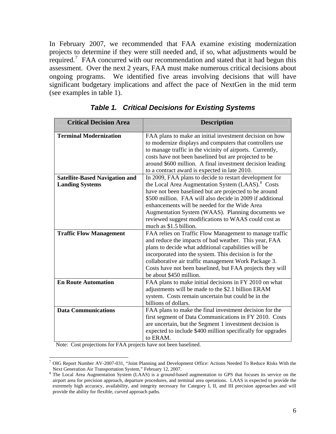In February 2007, we recommended that FAA examine existing modernization projects to determine if they were still needed and, if so, what adjustments would be required.<sup>[7](#page-6-0)</sup> FAA concurred with our recommendation and stated that it had begun this assessment. Over the next 2 years, FAA must make numerous critical decisions about ongoing programs. We identified five areas involving decisions that will have significant budgetary implications and affect the pace of NextGen in the mid term (see examples in table 1).

| <b>Critical Decision Area</b>         | <b>Description</b>                                                                                                                                                                                                                                                                                                                                                           |
|---------------------------------------|------------------------------------------------------------------------------------------------------------------------------------------------------------------------------------------------------------------------------------------------------------------------------------------------------------------------------------------------------------------------------|
| <b>Terminal Modernization</b>         | FAA plans to make an initial investment decision on how<br>to modernize displays and computers that controllers use<br>to manage traffic in the vicinity of airports. Currently,<br>costs have not been baselined but are projected to be<br>around \$600 million. A final investment decision leading<br>to a contract award is expected in late 2010.                      |
| <b>Satellite-Based Navigation and</b> | In 2009, FAA plans to decide to restart development for                                                                                                                                                                                                                                                                                                                      |
| <b>Landing Systems</b>                | the Local Area Augmentation System (LAAS). <sup>8</sup> Costs<br>have not been baselined but are projected to be around<br>\$500 million. FAA will also decide in 2009 if additional<br>enhancements will be needed for the Wide Area<br>Augmentation System (WAAS). Planning documents we<br>reviewed suggest modifications to WAAS could cost as<br>much as \$1.5 billion. |
| <b>Traffic Flow Management</b>        | FAA relies on Traffic Flow Management to manage traffic                                                                                                                                                                                                                                                                                                                      |
|                                       | and reduce the impacts of bad weather. This year, FAA<br>plans to decide what additional capabilities will be<br>incorporated into the system. This decision is for the<br>collaborative air traffic management Work Package 3.<br>Costs have not been baselined, but FAA projects they will<br>be about \$450 million.                                                      |
| <b>En Route Automation</b>            | FAA plans to make initial decisions in FY 2010 on what                                                                                                                                                                                                                                                                                                                       |
|                                       | adjustments will be made to the \$2.1 billion ERAM<br>system. Costs remain uncertain but could be in the<br>billions of dollars.                                                                                                                                                                                                                                             |
| <b>Data Communications</b>            | FAA plans to make the final investment decision for the<br>first segment of Data Communications in FY 2010. Costs<br>are uncertain, but the Segment 1 investment decision is<br>expected to include \$400 million specifically for upgrades<br>to ERAM.                                                                                                                      |

|  |  | <b>Table 1. Critical Decisions for Existing Systems</b> |  |  |  |
|--|--|---------------------------------------------------------|--|--|--|
|--|--|---------------------------------------------------------|--|--|--|

Note: Cost projections for FAA projects have not been baselined.

 $\overline{a}$ 

<span id="page-6-0"></span><sup>&</sup>lt;sup>7</sup> OIG Report Number AV-2007-031, "Joint Planning and Development Office: Actions Needed To Reduce Risks With the Next Generation Air Transportation System," February 12, 2007.<br><sup>8</sup> The Local Area Augmentation System (LAAS) is a ground-based augmentation to GPS that focuses its service on the

<span id="page-6-1"></span>airport area for precision approach, departure procedures, and terminal area operations. LAAS is expected to provide the extremely high accuracy, availability, and integrity necessary for Category I, II, and III precision approaches and will provide the ability for flexible, curved approach paths.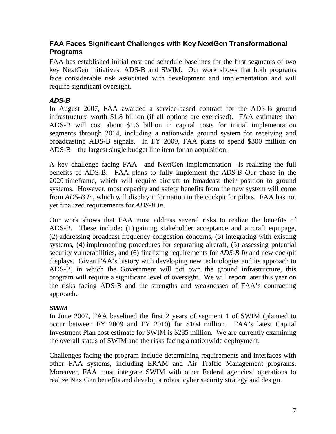## **FAA Faces Significant Challenges with Key NextGen Transformational Programs**

FAA has established initial cost and schedule baselines for the first segments of two key NextGen initiatives: ADS-B and SWIM. Our work shows that both programs face considerable risk associated with development and implementation and will require significant oversight.

# *ADS-B*

In August 2007, FAA awarded a service-based contract for the ADS-B ground infrastructure worth \$1.8 billion (if all options are exercised). FAA estimates that ADS-B will cost about \$1.6 billion in capital costs for initial implementation segments through 2014, including a nationwide ground system for receiving and broadcasting ADS-B signals. In FY 2009, FAA plans to spend \$300 million on ADS-B—the largest single budget line item for an acquisition.

A key challenge facing FAA—and NextGen implementation—is realizing the full benefits of ADS-B. FAA plans to fully implement the *ADS-B Out* phase in the 2020 timeframe, which will require aircraft to broadcast their position to ground systems. However, most capacity and safety benefits from the new system will come from *ADS-B In*, which will display information in the cockpit for pilots. FAA has not yet finalized requirements for *ADS-B In*.

Our work shows that FAA must address several risks to realize the benefits of ADS-B. These include: (1) gaining stakeholder acceptance and aircraft equipage, (2) addressing broadcast frequency congestion concerns, (3) integrating with existing systems, (4) implementing procedures for separating aircraft, (5) assessing potential security vulnerabilities, and (6) finalizing requirements for *ADS-B In* and new cockpit displays. Given FAA's history with developing new technologies and its approach to ADS-B, in which the Government will not own the ground infrastructure, this program will require a significant level of oversight. We will report later this year on the risks facing ADS-B and the strengths and weaknesses of FAA's contracting approach.

### *SWIM*

In June 2007, FAA baselined the first 2 years of segment 1 of SWIM (planned to occur between FY 2009 and FY 2010) for \$104 million. FAA's latest Capital Investment Plan cost estimate for SWIM is \$285 million. We are currently examining the overall status of SWIM and the risks facing a nationwide deployment.

Challenges facing the program include determining requirements and interfaces with other FAA systems, including ERAM and Air Traffic Management programs. Moreover, FAA must integrate SWIM with other Federal agencies' operations to realize NextGen benefits and develop a robust cyber security strategy and design.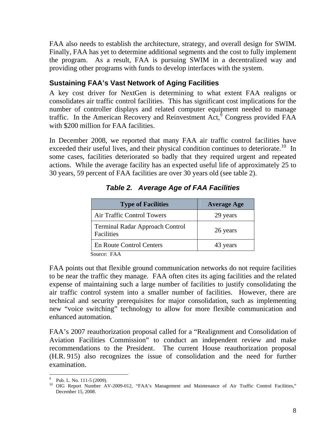FAA also needs to establish the architecture, strategy, and overall design for SWIM. Finally, FAA has yet to determine additional segments and the cost to fully implement the program. As a result, FAA is pursuing SWIM in a decentralized way and providing other programs with funds to develop interfaces with the system.

# **Sustaining FAA's Vast Network of Aging Facilities**

A key cost driver for NextGen is determining to what extent FAA realigns or consolidates air traffic control facilities. This has significant cost implications for the number of controller displays and related computer equipment needed to manage traffic. In the American Recovery and Reinvestment  $\text{Act}^{\uparrow}$  Congress provided FAA with \$200 million for FAA facilities.

In December 2008, we reported that many FAA air traffic control facilities have exceeded their useful lives, and their physical condition continues to deteriorate.<sup>[10](#page-8-1)</sup> In some cases, facilities deteriorated so badly that they required urgent and repeated actions. While the average facility has an expected useful life of approximately 25 to 30 years, 59 percent of FAA facilities are over 30 years old (see table 2).

| <b>Type of Facilities</b>                            | <b>Average Age</b> |  |  |
|------------------------------------------------------|--------------------|--|--|
| Air Traffic Control Towers                           | 29 years           |  |  |
| <b>Terminal Radar Approach Control</b><br>Facilities | 26 years           |  |  |
| <b>En Route Control Centers</b>                      | 43 years           |  |  |

*Table 2. Average Age of FAA Facilities* 

Source: FAA

FAA points out that flexible ground communication networks do not require facilities to be near the traffic they manage. FAA often cites its aging facilities and the related expense of maintaining such a large number of facilities to justify consolidating the air traffic control system into a smaller number of facilities. However, there are technical and security prerequisites for major consolidation, such as implementing new "voice switching" technology to allow for more flexible communication and enhanced automation.

FAA's 2007 reauthorization proposal called for a "Realignment and Consolidation of Aviation Facilities Commission" to conduct an independent review and make recommendations to the President. The current House reauthorization proposal (H.R. 915) also recognizes the issue of consolidation and the need for further examination.

 $\overline{a}$ 9 Pub. L. No. 111-5 (2009).

<span id="page-8-1"></span><span id="page-8-0"></span><sup>&</sup>lt;sup>10</sup> OIG Report Number AV-2009-012, "FAA's Management and Maintenance of Air Traffic Control Facilities," December 15, 2008.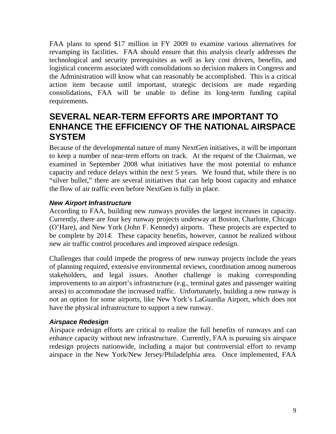FAA plans to spend \$17 million in FY 2009 to examine various alternatives for revamping its facilities. FAA should ensure that this analysis clearly addresses the technological and security prerequisites as well as key cost drivers, benefits, and logistical concerns associated with consolidations so decision makers in Congress and the Administration will know what can reasonably be accomplished. This is a critical action item because until important, strategic decisions are made regarding consolidations, FAA will be unable to define its long-term funding capital requirements.

# **SEVERAL NEAR-TERM EFFORTS ARE IMPORTANT TO ENHANCE THE EFFICIENCY OF THE NATIONAL AIRSPACE SYSTEM**

Because of the developmental nature of many NextGen initiatives, it will be important to keep a number of near-term efforts on track. At the request of the Chairman, we examined in September 2008 what initiatives have the most potential to enhance capacity and reduce delays within the next 5 years. We found that, while there is no "silver bullet," there are several initiatives that can help boost capacity and enhance the flow of air traffic even before NextGen is fully in place.

### *New Airport Infrastructure*

According to FAA, building new runways provides the largest increases in capacity. Currently, there are four key runway projects underway at Boston, Charlotte, Chicago (O'Hare), and New York (John F. Kennedy) airports. These projects are expected to be complete by 2014. These capacity benefits, however, cannot be realized without new air traffic control procedures and improved airspace redesign.

Challenges that could impede the progress of new runway projects include the years of planning required, extensive environmental reviews, coordination among numerous stakeholders, and legal issues. Another challenge is making corresponding improvements to an airport's infrastructure (e.g., terminal gates and passenger waiting areas) to accommodate the increased traffic. Unfortunately, building a new runway is not an option for some airports, like New York's LaGuardia Airport, which does not have the physical infrastructure to support a new runway.

### *Airspace Redesign*

Airspace redesign efforts are critical to realize the full benefits of runways and can enhance capacity without new infrastructure. Currently, FAA is pursuing six airspace redesign projects nationwide, including a major but controversial effort to revamp airspace in the New York/New Jersey/Philadelphia area. Once implemented, FAA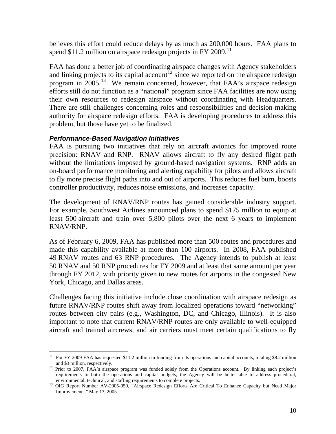believes this effort could reduce delays by as much as 200,000 hours. FAA plans to spend \$[11](#page-10-0).2 million on airspace redesign projects in FY 2009.<sup>11</sup>

FAA has done a better job of coordinating airspace changes with Agency stakeholders and linking projects to its capital account<sup>[12](#page-10-1)</sup> since we reported on the airspace redesign program in  $2005$ <sup>[13](#page-10-2)</sup> We remain concerned, however, that FAA's airspace redesign efforts still do not function as a "national" program since FAA facilities are now using their own resources to redesign airspace without coordinating with Headquarters. There are still challenges concerning roles and responsibilities and decision-making authority for airspace redesign efforts. FAA is developing procedures to address this problem, but those have yet to be finalized.

#### *Performance-Based Navigation Initiatives*

FAA is pursuing two initiatives that rely on aircraft avionics for improved route precision: RNAV and RNP. RNAV allows aircraft to fly any desired flight path without the limitations imposed by ground-based navigation systems. RNP adds an on-board performance monitoring and alerting capability for pilots and allows aircraft to fly more precise flight paths into and out of airports. This reduces fuel burn, boosts controller productivity, reduces noise emissions, and increases capacity.

The development of RNAV/RNP routes has gained considerable industry support. For example, Southwest Airlines announced plans to spend \$175 million to equip at least 500 aircraft and train over 5,800 pilots over the next 6 years to implement RNAV/RNP.

As of February 6, 2009, FAA has published more than 500 routes and procedures and made this capability available at more than 100 airports. In 2008, FAA published 49 RNAV routes and 63 RNP procedures. The Agency intends to publish at least 50 RNAV and 50 RNP procedures for FY 2009 and at least that same amount per year through FY 2012, with priority given to new routes for airports in the congested New York, Chicago, and Dallas areas.

Challenges facing this initiative include close coordination with airspace redesign as future RNAV/RNP routes shift away from localized operations toward "networking" routes between city pairs (e.g., Washington, DC, and Chicago, Illinois). It is also important to note that current RNAV/RNP routes are only available to well-equipped aircraft and trained aircrews, and air carriers must meet certain qualifications to fly

<span id="page-10-0"></span> $\overline{a}$ <sup>11</sup> For FY 2009 FAA has requested \$11.2 million in funding from its operations and capital accounts, totaling \$8.2 million and \$3 million, respectively.<br><sup>12</sup> Prior to 2007, FAA's airspace program was funded solely from the Operations account. By linking each project's

<span id="page-10-1"></span>requirements to both the operations and capital budgets, the Agency will be better able to address procedural,

<span id="page-10-2"></span>environmental, technical, and staffing requirements to complete projects. 13 OIG Report Number AV-2005-059, "Airspace Redesign Efforts Are Critical To Enhance Capacity but Need Major Improvements," May 13, 2005.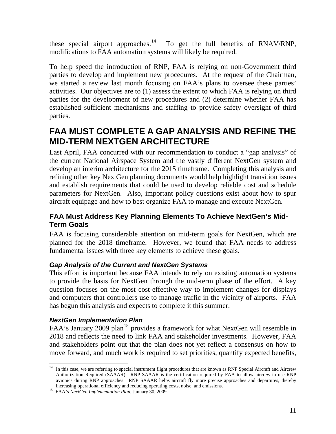these special airport approaches.<sup>[14](#page-11-0)</sup> To get the full benefits of RNAV/RNP, modifications to FAA automation systems will likely be required.

To help speed the introduction of RNP, FAA is relying on non-Government third parties to develop and implement new procedures. At the request of the Chairman, we started a review last month focusing on FAA's plans to oversee these parties' activities. Our objectives are to (1) assess the extent to which FAA is relying on third parties for the development of new procedures and (2) determine whether FAA has established sufficient mechanisms and staffing to provide safety oversight of third parties.

# **FAA MUST COMPLETE A GAP ANALYSIS AND REFINE THE MID-TERM NEXTGEN ARCHITECTURE**

Last April, FAA concurred with our recommendation to conduct a "gap analysis" of the current National Airspace System and the vastly different NextGen system and develop an interim architecture for the 2015 timeframe. Completing this analysis and refining other key NextGen planning documents would help highlight transition issues and establish requirements that could be used to develop reliable cost and schedule parameters for NextGen. Also, important policy questions exist about how to spur aircraft equipage and how to best organize FAA to manage and execute NextGen.

# **FAA Must Address Key Planning Elements To Achieve NextGen's Mid-Term Goals**

FAA is focusing considerable attention on mid-term goals for NextGen, which are planned for the 2018 timeframe. However, we found that FAA needs to address fundamental issues with three key elements to achieve these goals.

### *Gap Analysis of the Current and NextGen Systems*

This effort is important because FAA intends to rely on existing automation systems to provide the basis for NextGen through the mid-term phase of the effort. A key question focuses on the most cost-effective way to implement changes for displays and computers that controllers use to manage traffic in the vicinity of airports. FAA has begun this analysis and expects to complete it this summer.

### *NextGen Implementation Plan*

 $\overline{a}$ 

FAA's January 2009 plan<sup>[15](#page-11-1)</sup> provides a framework for what NextGen will resemble in 2018 and reflects the need to link FAA and stakeholder investments. However, FAA and stakeholders point out that the plan does not yet reflect a consensus on how to move forward, and much work is required to set priorities, quantify expected benefits,

<span id="page-11-0"></span><sup>&</sup>lt;sup>14</sup> In this case, we are referring to special instrument flight procedures that are known as RNP Special Aircraft and Aircrew Authorization Required (SAAAR). RNP SAAAR is the certification required by FAA to allow aircrew to use RNP avionics during RNP approaches. RNP SAAAR helps aircraft fly more precise approaches and departures, thereby increasing operational efficiency and reducing operating costs, noise, and emissions. 15 FAA's *NextGen Implementation Plan*, January 30, 2009.

<span id="page-11-1"></span>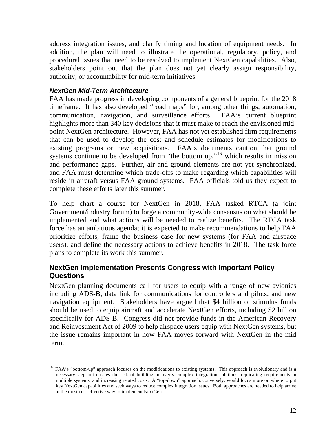address integration issues, and clarify timing and location of equipment needs. In addition, the plan will need to illustrate the operational, regulatory, policy, and procedural issues that need to be resolved to implement NextGen capabilities. Also, stakeholders point out that the plan does not yet clearly assign responsibility, authority, or accountability for mid-term initiatives.

### *NextGen Mid-Term Architecture*

 $\overline{a}$ 

FAA has made progress in developing components of a general blueprint for the 2018 timeframe. It has also developed "road maps" for, among other things, automation, communication, navigation, and surveillance efforts. FAA's current blueprint highlights more than 340 key decisions that it must make to reach the envisioned midpoint NextGen architecture. However, FAA has not yet established firm requirements that can be used to develop the cost and schedule estimates for modifications to existing programs or new acquisitions. FAA's documents caution that ground systems continue to be developed from "the bottom up,"<sup>[16](#page-12-0)</sup> which results in mission and performance gaps. Further, air and ground elements are not yet synchronized, and FAA must determine which trade-offs to make regarding which capabilities will reside in aircraft versus FAA ground systems. FAA officials told us they expect to complete these efforts later this summer.

To help chart a course for NextGen in 2018, FAA tasked RTCA (a joint Government/industry forum) to forge a community-wide consensus on what should be implemented and what actions will be needed to realize benefits. The RTCA task force has an ambitious agenda; it is expected to make recommendations to help FAA prioritize efforts, frame the business case for new systems (for FAA and airspace users), and define the necessary actions to achieve benefits in 2018. The task force plans to complete its work this summer.

### **NextGen Implementation Presents Congress with Important Policy Questions**

NextGen planning documents call for users to equip with a range of new avionics including ADS-B, data link for communications for controllers and pilots, and new navigation equipment. Stakeholders have argued that \$4 billion of stimulus funds should be used to equip aircraft and accelerate NextGen efforts, including \$2 billion specifically for ADS-B. Congress did not provide funds in the American Recovery and Reinvestment Act of 2009 to help airspace users equip with NextGen systems, but the issue remains important in how FAA moves forward with NextGen in the mid term.

<span id="page-12-0"></span><sup>&</sup>lt;sup>16</sup> FAA's "bottom-up" approach focuses on the modifications to existing systems. This approach is evolutionary and is a necessary step but creates the risk of building in overly complex integration solutions, replicating requirements in multiple systems, and increasing related costs. A "top-down" approach, conversely, would focus more on where to put key NextGen capabilities and seek ways to reduce complex integration issues. Both approaches are needed to help arrive at the most cost-effective way to implement NextGen.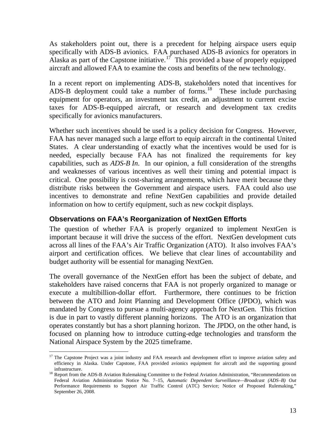As stakeholders point out, there is a precedent for helping airspace users equip specifically with ADS-B avionics. FAA purchased ADS-B avionics for operators in Alaska as part of the Capstone initiative.<sup>[17](#page-13-0)</sup> This provided a base of properly equipped aircraft and allowed FAA to examine the costs and benefits of the new technology.

In a recent report on implementing ADS-B, stakeholders noted that incentives for ADS-B deployment could take a number of forms.<sup>[18](#page-13-1)</sup> These include purchasing equipment for operators, an investment tax credit, an adjustment to current excise taxes for ADS-B-equipped aircraft, or research and development tax credits specifically for avionics manufacturers.

Whether such incentives should be used is a policy decision for Congress. However, FAA has never managed such a large effort to equip aircraft in the continental United States. A clear understanding of exactly what the incentives would be used for is needed, especially because FAA has not finalized the requirements for key capabilities, such as *ADS-B In*. In our opinion, a full consideration of the strengths and weaknesses of various incentives as well their timing and potential impact is critical. One possibility is cost-sharing arrangements, which have merit because they distribute risks between the Government and airspace users. FAA could also use incentives to demonstrate and refine NextGen capabilities and provide detailed information on how to certify equipment, such as new cockpit displays.

### **Observations on FAA's Reorganization of NextGen Efforts**

The question of whether FAA is properly organized to implement NextGen is important because it will drive the success of the effort. NextGen development cuts across all lines of the FAA's Air Traffic Organization (ATO). It also involves FAA's airport and certification offices. We believe that clear lines of accountability and budget authority will be essential for managing NextGen.

The overall governance of the NextGen effort has been the subject of debate, and stakeholders have raised concerns that FAA is not properly organized to manage or execute a multibillion-dollar effort. Furthermore, there continues to be friction between the ATO and Joint Planning and Development Office (JPDO), which was mandated by Congress to pursue a multi-agency approach for NextGen. This friction is due in part to vastly different planning horizons. The ATO is an organization that operates constantly but has a short planning horizon. The JPDO, on the other hand, is focused on planning how to introduce cutting-edge technologies and transform the National Airspace System by the 2025 timeframe.

<span id="page-13-0"></span> $\overline{a}$ <sup>17</sup> The Capstone Project was a joint industry and FAA research and development effort to improve aviation safety and efficiency in Alaska. Under Capstone, FAA provided avionics equipment for aircraft and the supporting ground

<span id="page-13-1"></span><sup>&</sup>lt;sup>18</sup> Report from the ADS-B Aviation Rulemaking Committee to the Federal Aviation Administration, "Recommendations on Federal Aviation Administration Notice No. 7–15, *Automatic Dependent Surveillance—Broadcast (ADS–B) Out* Performance Requirements to Support Air Traffic Control (ATC) Service; Notice of Proposed Rulemaking," September 26, 2008.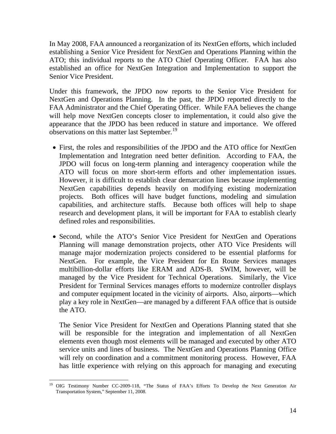In May 2008, FAA announced a reorganization of its NextGen efforts, which included establishing a Senior Vice President for NextGen and Operations Planning within the ATO; this individual reports to the ATO Chief Operating Officer. FAA has also established an office for NextGen Integration and Implementation to support the Senior Vice President.

Under this framework, the JPDO now reports to the Senior Vice President for NextGen and Operations Planning. In the past, the JPDO reported directly to the FAA Administrator and the Chief Operating Officer. While FAA believes the change will help move NextGen concepts closer to implementation, it could also give the appearance that the JPDO has been reduced in stature and importance. We offered observations on this matter last September.<sup>[19](#page-14-0)</sup>

- First, the roles and responsibilities of the JPDO and the ATO office for NextGen Implementation and Integration need better definition. According to FAA, the JPDO will focus on long-term planning and interagency cooperation while the ATO will focus on more short-term efforts and other implementation issues. However, it is difficult to establish clear demarcation lines because implementing NextGen capabilities depends heavily on modifying existing modernization projects. Both offices will have budget functions, modeling and simulation capabilities, and architecture staffs. Because both offices will help to shape research and development plans, it will be important for FAA to establish clearly defined roles and responsibilities.
- Second, while the ATO's Senior Vice President for NextGen and Operations Planning will manage demonstration projects, other ATO Vice Presidents will manage major modernization projects considered to be essential platforms for NextGen. For example, the Vice President for En Route Services manages multibillion-dollar efforts like ERAM and ADS-B. SWIM, however, will be managed by the Vice President for Technical Operations. Similarly, the Vice President for Terminal Services manages efforts to modernize controller displays and computer equipment located in the vicinity of airports. Also, airports—which play a key role in NextGen—are managed by a different FAA office that is outside the ATO.

The Senior Vice President for NextGen and Operations Planning stated that she will be responsible for the integration and implementation of all NextGen elements even though most elements will be managed and executed by other ATO service units and lines of business. The NextGen and Operations Planning Office will rely on coordination and a commitment monitoring process. However, FAA has little experience with relying on this approach for managing and executing

<span id="page-14-0"></span> $\overline{a}$ 19 OIG Testimony Number CC-2009-118, "The Status of FAA's Efforts To Develop the Next Generation Air Transportation System," September 11, 2008.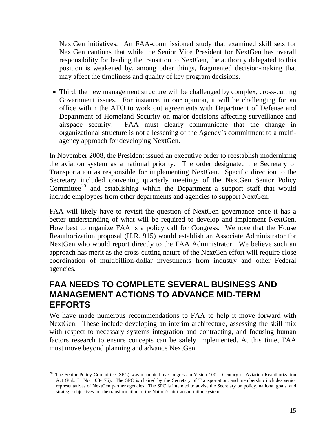NextGen initiatives. An FAA-commissioned study that examined skill sets for NextGen cautions that while the Senior Vice President for NextGen has overall responsibility for leading the transition to NextGen, the authority delegated to this position is weakened by, among other things, fragmented decision-making that may affect the timeliness and quality of key program decisions.

• Third, the new management structure will be challenged by complex, cross-cutting Government issues. For instance, in our opinion, it will be challenging for an office within the ATO to work out agreements with Department of Defense and Department of Homeland Security on major decisions affecting surveillance and airspace security. FAA must clearly communicate that the change in organizational structure is not a lessening of the Agency's commitment to a multiagency approach for developing NextGen.

In November 2008, the President issued an executive order to reestablish modernizing the aviation system as a national priority. The order designated the Secretary of Transportation as responsible for implementing NextGen. Specific direction to the Secretary included convening quarterly meetings of the NextGen Senior Policy Committee<sup>[20](#page-15-0)</sup> and establishing within the Department a support staff that would include employees from other departments and agencies to support NextGen.

FAA will likely have to revisit the question of NextGen governance once it has a better understanding of what will be required to develop and implement NextGen. How best to organize FAA is a policy call for Congress. We note that the House Reauthorization proposal (H.R. 915) would establish an Associate Administrator for NextGen who would report directly to the FAA Administrator. We believe such an approach has merit as the cross-cutting nature of the NextGen effort will require close coordination of multibillion-dollar investments from industry and other Federal agencies.

# **FAA NEEDS TO COMPLETE SEVERAL BUSINESS AND MANAGEMENT ACTIONS TO ADVANCE MID-TERM EFFORTS**

We have made numerous recommendations to FAA to help it move forward with NextGen. These include developing an interim architecture, assessing the skill mix with respect to necessary systems integration and contracting, and focusing human factors research to ensure concepts can be safely implemented. At this time, FAA must move beyond planning and advance NextGen.

 $\overline{a}$ 

<span id="page-15-0"></span><sup>20</sup> The Senior Policy Committee (SPC) was mandated by Congress in Vision 100 – Century of Aviation Reauthorization Act (Pub. L. No. 108-176). The SPC is chaired by the Secretary of Transportation, and membership includes senior representatives of NextGen partner agencies. The SPC is intended to advise the Secretary on policy, national goals, and strategic objectives for the transformation of the Nation's air transportation system.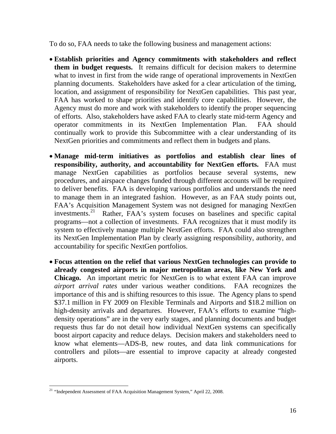To do so, FAA needs to take the following business and management actions:

- **Establish priorities and Agency commitments with stakeholders and reflect them in budget requests.** It remains difficult for decision makers to determine what to invest in first from the wide range of operational improvements in NextGen planning documents. Stakeholders have asked for a clear articulation of the timing, location, and assignment of responsibility for NextGen capabilities. This past year, FAA has worked to shape priorities and identify core capabilities. However, the Agency must do more and work with stakeholders to identify the proper sequencing of efforts. Also, stakeholders have asked FAA to clearly state mid-term Agency and operator commitments in its NextGen Implementation Plan. FAA should continually work to provide this Subcommittee with a clear understanding of its NextGen priorities and commitments and reflect them in budgets and plans.
- **Manage mid-term initiatives as portfolios and establish clear lines of responsibility, authority, and accountability for NextGen efforts.** FAA must manage NextGen capabilities as portfolios because several systems, new procedures, and airspace changes funded through different accounts will be required to deliver benefits. FAA is developing various portfolios and understands the need to manage them in an integrated fashion. However, as an FAA study points out, FAA's Acquisition Management System was not designed for managing NextGen investments.[21](#page-16-0) Rather, FAA's system focuses on baselines and specific capital programs—not a collection of investments. FAA recognizes that it must modify its system to effectively manage multiple NextGen efforts. FAA could also strengthen its NextGen Implementation Plan by clearly assigning responsibility, authority, and accountability for specific NextGen portfolios.
- **Focus attention on the relief that various NextGen technologies can provide to already congested airports in major metropolitan areas, like New York and Chicago.** An important metric for NextGen is to what extent FAA can improve *airport arrival rates* under various weather conditions. FAA recognizes the importance of this and is shifting resources to this issue. The Agency plans to spend \$37.1 million in FY 2009 on Flexible Terminals and Airports and \$18.2 million on high-density arrivals and departures. However, FAA's efforts to examine "highdensity operations" are in the very early stages, and planning documents and budget requests thus far do not detail how individual NextGen systems can specifically boost airport capacity and reduce delays. Decision makers and stakeholders need to know what elements—ADS-B, new routes, and data link communications for controllers and pilots—are essential to improve capacity at already congested airports.

<span id="page-16-0"></span> $\overline{a}$ <sup>21</sup> "Independent Assessment of FAA Acquisition Management System," April 22, 2008.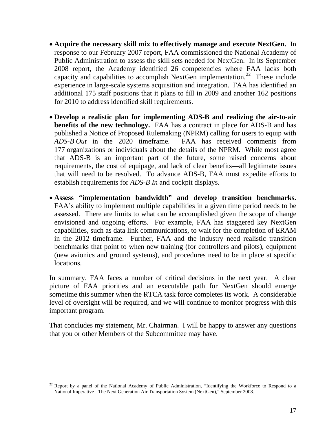- **Acquire the necessary skill mix to effectively manage and execute NextGen.**In response to our February 2007 report, FAA commissioned the National Academy of Public Administration to assess the skill sets needed for NextGen. In its September 2008 report, the Academy identified 26 competencies where FAA lacks both capacity and capabilities to accomplish NextGen implementation.<sup>[22](#page-17-0)</sup> These include experience in large-scale systems acquisition and integration. FAA has identified an additional 175 staff positions that it plans to fill in 2009 and another 162 positions for 2010 to address identified skill requirements.
- **Develop a realistic plan for implementing ADS-B and realizing the air-to-air benefits of the new technology.** FAA has a contract in place for ADS-B and has published a Notice of Proposed Rulemaking (NPRM) calling for users to equip with *ADS-B Out* in the 2020 timeframe. FAA has received comments from 177 organizations or individuals about the details of the NPRM. While most agree that ADS-B is an important part of the future, some raised concerns about requirements, the cost of equipage, and lack of clear benefits—all legitimate issues that will need to be resolved. To advance ADS-B, FAA must expedite efforts to establish requirements for *ADS-B In* and cockpit displays.
- **Assess "implementation bandwidth" and develop transition benchmarks.** FAA's ability to implement multiple capabilities in a given time period needs to be assessed. There are limits to what can be accomplished given the scope of change envisioned and ongoing efforts. For example, FAA has staggered key NextGen capabilities, such as data link communications, to wait for the completion of ERAM in the 2012 timeframe. Further, FAA and the industry need realistic transition benchmarks that point to when new training (for controllers and pilots), equipment (new avionics and ground systems), and procedures need to be in place at specific locations.

In summary, FAA faces a number of critical decisions in the next year. A clear picture of FAA priorities and an executable path for NextGen should emerge sometime this summer when the RTCA task force completes its work. A considerable level of oversight will be required, and we will continue to monitor progress with this important program.

That concludes my statement, Mr. Chairman. I will be happy to answer any questions that you or other Members of the Subcommittee may have.

 $\overline{a}$ 

<span id="page-17-0"></span> $22$  Report by a panel of the National Academy of Public Administration, "Identifying the Workforce to Respond to a National Imperative - The Next Generation Air Transportation System (NextGen)," September 2008.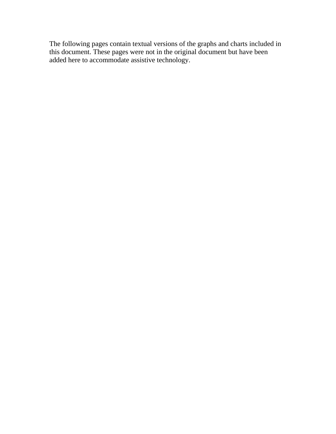The following pages contain textual versions of the graphs and charts included in this document. These pages were not in the original document but have been added here to accommodate assistive technology.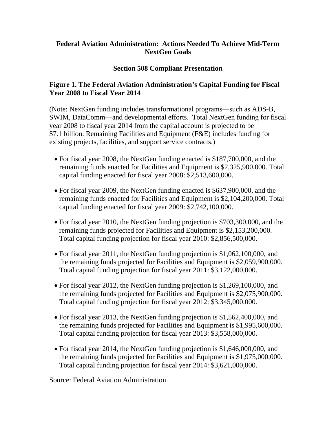### **Federal Aviation Administration: Actions Needed To Achieve Mid-Term NextGen Goals**

### **Section 508 Compliant Presentation**

### **Figure 1. The Federal Aviation Administration's Capital Funding for Fiscal Year 2008 to Fiscal Year 2014**

(Note: NextGen funding includes transformational programs—such as ADS-B, SWIM, DataComm—and developmental efforts. Total NextGen funding for fiscal year 2008 to fiscal year 2014 from the capital account is projected to be \$7.1 billion. Remaining Facilities and Equipment (F&E) includes funding for existing projects, facilities, and support service contracts.)

- For fiscal year 2008, the NextGen funding enacted is \$187,700,000, and the remaining funds enacted for Facilities and Equipment is \$2,325,900,000. Total capital funding enacted for fiscal year 2008: \$2,513,600,000.
- For fiscal year 2009, the NextGen funding enacted is \$637,900,000, and the remaining funds enacted for Facilities and Equipment is \$2,104,200,000. Total capital funding enacted for fiscal year 2009: \$2,742,100,000.
- For fiscal year 2010, the NextGen funding projection is \$703,300,000, and the remaining funds projected for Facilities and Equipment is \$2,153,200,000. Total capital funding projection for fiscal year 2010: \$2,856,500,000.
- For fiscal year 2011, the NextGen funding projection is \$1,062,100,000, and the remaining funds projected for Facilities and Equipment is \$2,059,900,000. Total capital funding projection for fiscal year 2011: \$3,122,000,000.
- For fiscal year 2012, the NextGen funding projection is \$1,269,100,000, and the remaining funds projected for Facilities and Equipment is \$2,075,900,000. Total capital funding projection for fiscal year 2012: \$3,345,000,000.
- For fiscal year 2013, the NextGen funding projection is \$1,562,400,000, and the remaining funds projected for Facilities and Equipment is \$1,995,600,000. Total capital funding projection for fiscal year 2013: \$3,558,000,000.
- For fiscal year 2014, the NextGen funding projection is \$1,646,000,000, and the remaining funds projected for Facilities and Equipment is \$1,975,000,000. Total capital funding projection for fiscal year 2014: \$3,621,000,000.

Source: Federal Aviation Administration